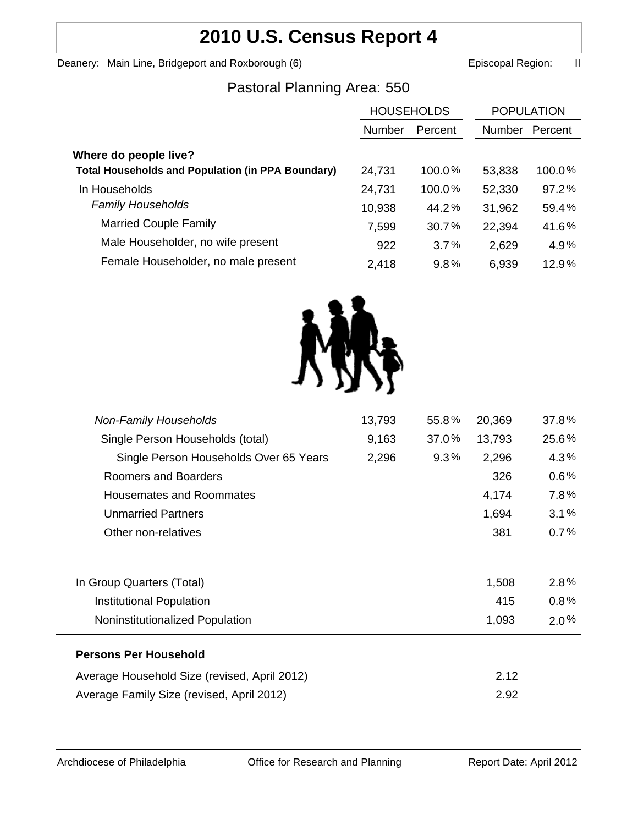# **2010 U.S. Census Report 4**

Deanery: Main Line, Bridgeport and Roxborough (6) **Example 2** Episcopal Region: II

### Pastoral Planning Area: 550

|                                                          | <b>HOUSEHOLDS</b> |         | <b>POPULATION</b> |          |
|----------------------------------------------------------|-------------------|---------|-------------------|----------|
|                                                          | Number            | Percent | <b>Number</b>     | Percent  |
| Where do people live?                                    |                   |         |                   |          |
| <b>Total Households and Population (in PPA Boundary)</b> | 24,731            | 100.0%  | 53,838            | 100.0%   |
| In Households                                            | 24,731            | 100.0%  | 52,330            | $97.2\%$ |
| <b>Family Households</b>                                 | 10,938            | 44.2%   | 31,962            | 59.4%    |
| <b>Married Couple Family</b>                             | 7,599             | 30.7%   | 22,394            | 41.6%    |
| Male Householder, no wife present                        | 922               | 3.7%    | 2,629             | 4.9%     |
| Female Householder, no male present                      | 2,418             | 9.8%    | 6,939             | 12.9%    |
|                                                          |                   |         |                   |          |



| <b>Non-Family Households</b>                 | 13,793 | 55.8% | 20,369 | 37.8%   |
|----------------------------------------------|--------|-------|--------|---------|
| Single Person Households (total)             | 9,163  | 37.0% | 13,793 | 25.6%   |
| Single Person Households Over 65 Years       | 2,296  | 9.3%  | 2,296  | 4.3%    |
| Roomers and Boarders                         |        |       | 326    | 0.6%    |
| <b>Housemates and Roommates</b>              |        |       | 4,174  | 7.8%    |
| <b>Unmarried Partners</b>                    |        |       | 1,694  | 3.1%    |
| Other non-relatives                          |        |       | 381    | 0.7%    |
| In Group Quarters (Total)                    |        |       | 1,508  | 2.8%    |
| <b>Institutional Population</b>              |        |       | 415    | $0.8\%$ |
| Noninstitutionalized Population              |        |       | 1,093  | $2.0\%$ |
| <b>Persons Per Household</b>                 |        |       |        |         |
| Average Household Size (revised, April 2012) |        |       | 2.12   |         |
| Average Family Size (revised, April 2012)    |        |       | 2.92   |         |
|                                              |        |       |        |         |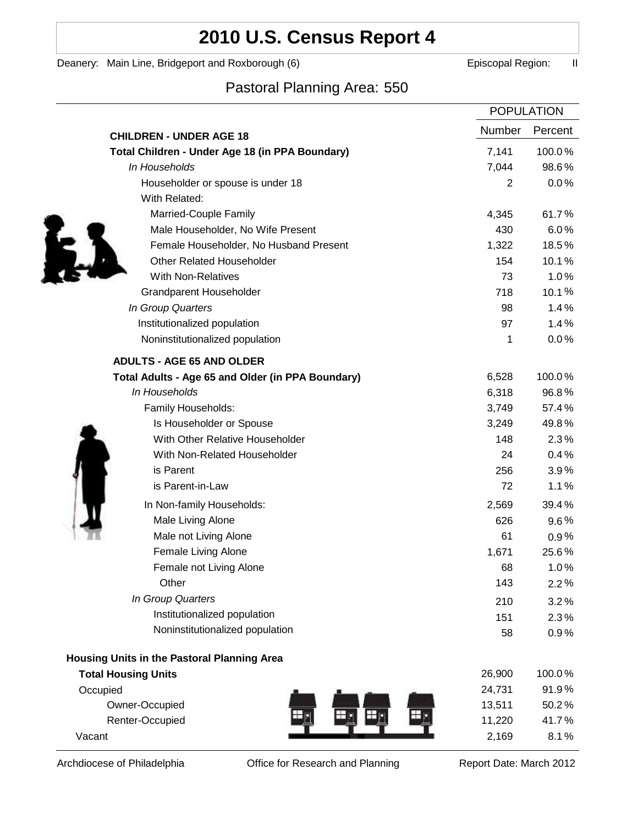## **2010 U.S. Census Report 4**

Deanery: Main Line, Bridgeport and Roxborough (6) **Example 2** Episcopal Region: II

### Pastoral Planning Area: 550

|                                                   | <b>POPULATION</b> |         |
|---------------------------------------------------|-------------------|---------|
| <b>CHILDREN - UNDER AGE 18</b>                    | <b>Number</b>     | Percent |
| Total Children - Under Age 18 (in PPA Boundary)   | 7,141             | 100.0%  |
| In Households                                     | 7,044             | 98.6%   |
| Householder or spouse is under 18                 | 2                 | 0.0%    |
| With Related:                                     |                   |         |
| Married-Couple Family                             | 4,345             | 61.7%   |
| Male Householder, No Wife Present                 | 430               | 6.0%    |
| Female Householder, No Husband Present            | 1,322             | 18.5%   |
| <b>Other Related Householder</b>                  | 154               | 10.1%   |
| <b>With Non-Relatives</b>                         | 73                | 1.0%    |
| <b>Grandparent Householder</b>                    | 718               | 10.1%   |
| In Group Quarters                                 | 98                | 1.4%    |
| Institutionalized population                      | 97                | 1.4%    |
| Noninstitutionalized population                   | 1                 | 0.0%    |
| <b>ADULTS - AGE 65 AND OLDER</b>                  |                   |         |
| Total Adults - Age 65 and Older (in PPA Boundary) | 6,528             | 100.0%  |
| In Households                                     | 6,318             | 96.8%   |
| Family Households:                                | 3,749             | 57.4%   |
| Is Householder or Spouse                          | 3,249             | 49.8%   |
| With Other Relative Householder                   | 148               | 2.3%    |
| With Non-Related Householder                      | 24                | 0.4%    |
| is Parent                                         | 256               | 3.9%    |
| is Parent-in-Law                                  | 72                | 1.1%    |
| In Non-family Households:                         | 2,569             | 39.4%   |
| Male Living Alone                                 | 626               | $9.6\%$ |
| Male not Living Alone                             | 61                | 0.9%    |
| Female Living Alone                               | 1,671             | 25.6%   |
| Female not Living Alone                           | 68                | 1.0%    |
| Other                                             | 143               | 2.2%    |
| In Group Quarters                                 | 210               | 3.2%    |
| Institutionalized population                      | 151               | 2.3%    |
| Noninstitutionalized population                   | 58                | 0.9%    |
| Housing Units in the Pastoral Planning Area       |                   |         |
| <b>Total Housing Units</b>                        | 26,900            | 100.0%  |
| Occupied                                          | 24,731            | 91.9%   |
| Owner-Occupied                                    | 13,511            | 50.2%   |
| Renter-Occupied                                   | 11,220            | 41.7%   |
| Vacant                                            | 2,169             | 8.1%    |

Archdiocese of Philadelphia **Office for Research and Planning** Report Date: March 2012